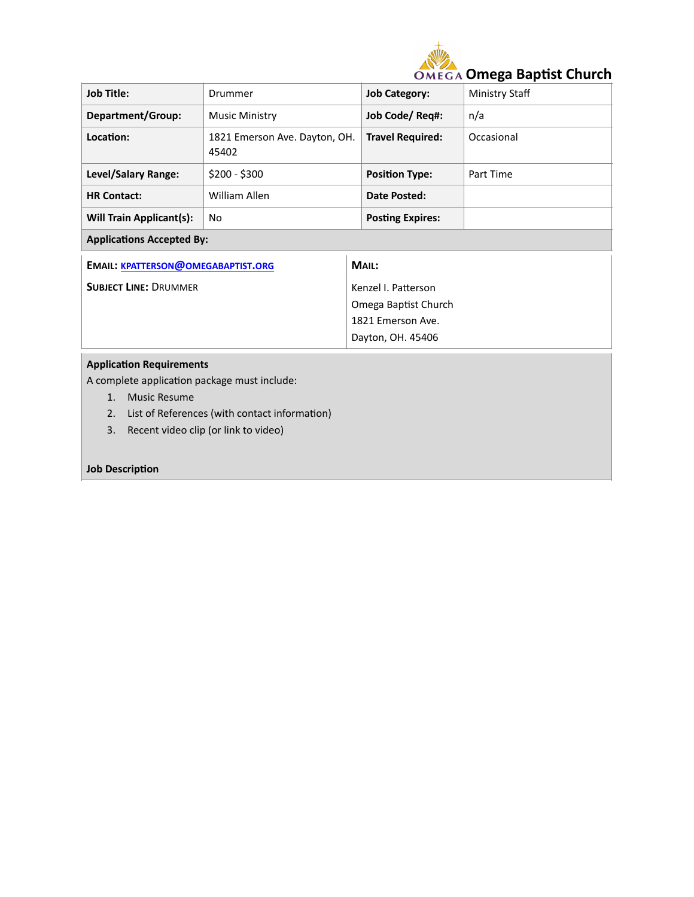

| <b>Job Title:</b>                         | Drummer                                | <b>Job Category:</b>    | Ministry Staff |  |  |
|-------------------------------------------|----------------------------------------|-------------------------|----------------|--|--|
| <b>Department/Group:</b>                  | <b>Music Ministry</b>                  | Job Code/ Req#:         | n/a            |  |  |
| Location:                                 | 1821 Emerson Ave. Dayton, OH.<br>45402 | <b>Travel Required:</b> | Occasional     |  |  |
| Level/Salary Range:                       | $$200 - $300$                          | <b>Position Type:</b>   | Part Time      |  |  |
| <b>HR Contact:</b>                        | William Allen                          | Date Posted:            |                |  |  |
| <b>Will Train Applicant(s):</b>           | No                                     | <b>Posting Expires:</b> |                |  |  |
| <b>Applications Accepted By:</b>          |                                        |                         |                |  |  |
| <b>EMAIL: KPATTERSON@OMEGABAPTIST.ORG</b> |                                        | MAIL:                   |                |  |  |
| <b>SUBJECT LINE: DRUMMER</b>              |                                        | Kenzel I. Patterson     |                |  |  |
|                                           |                                        | Omega Baptist Church    |                |  |  |
|                                           |                                        | 1821 Emerson Ave.       |                |  |  |
|                                           |                                        | Dayton, OH. 45406       |                |  |  |
| <b>Application Requirements</b>           |                                        |                         |                |  |  |

A complete application package must include:

- 1. Music Resume
- 2. List of References (with contact information)
- 3. Recent video clip (or link to video)

## **Job Description**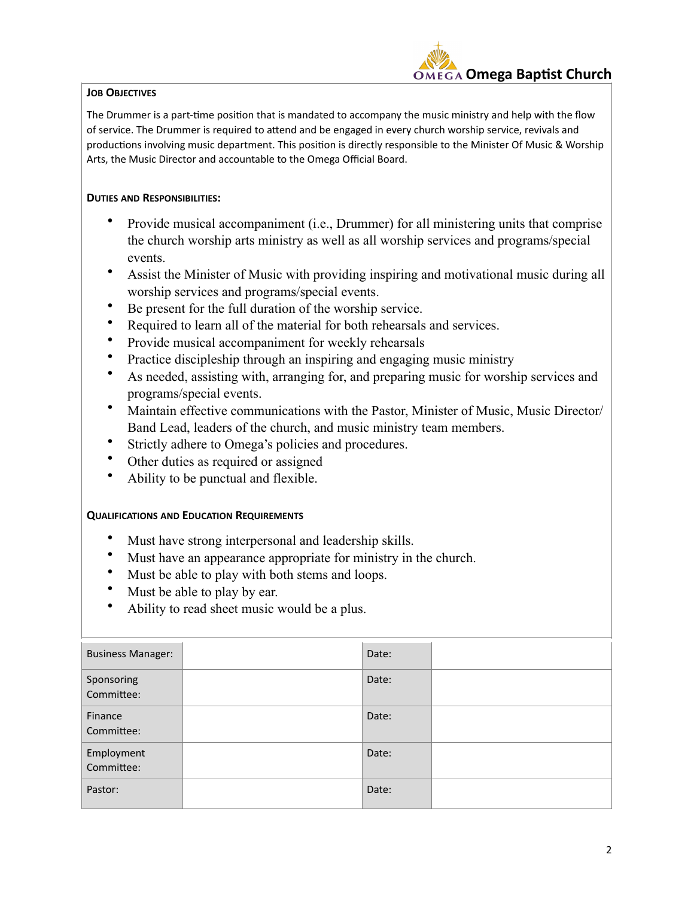## **JOB OBJECTIVES**

 **Omega Baptist Church**

The Drummer is a part-time position that is mandated to accompany the music ministry and help with the flow of service. The Drummer is required to attend and be engaged in every church worship service, revivals and productions involving music department. This position is directly responsible to the Minister Of Music & Worship Arts, the Music Director and accountable to the Omega Official Board.

## **DUTIES AND RESPONSIBILITIES:**

- Provide musical accompaniment (i.e., Drummer) for all ministering units that comprise the church worship arts ministry as well as all worship services and programs/special events.
- Assist the Minister of Music with providing inspiring and motivational music during all worship services and programs/special events.
- Be present for the full duration of the worship service.
- Required to learn all of the material for both rehearsals and services.
- Provide musical accompaniment for weekly rehearsals
- Practice discipleship through an inspiring and engaging music ministry
- As needed, assisting with, arranging for, and preparing music for worship services and programs/special events.
- Maintain effective communications with the Pastor, Minister of Music, Music Director/ Band Lead, leaders of the church, and music ministry team members.
- Strictly adhere to Omega's policies and procedures.
- Other duties as required or assigned
- Ability to be punctual and flexible.

## **QUALIFICATIONS AND EDUCATION REQUIREMENTS**

- Must have strong interpersonal and leadership skills.
- Must have an appearance appropriate for ministry in the church.
- Must be able to play with both stems and loops.
- Must be able to play by ear.
- Ability to read sheet music would be a plus.

| <b>Business Manager:</b> | Date: |  |
|--------------------------|-------|--|
| Sponsoring<br>Committee: | Date: |  |
| Finance<br>Committee:    | Date: |  |
| Employment<br>Committee: | Date: |  |
| Pastor:                  | Date: |  |